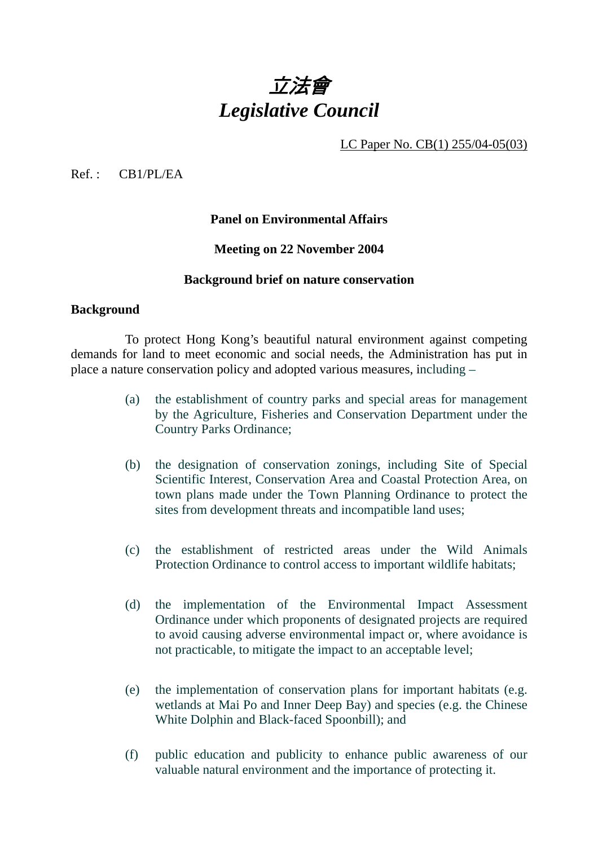

LC Paper No. CB(1) 255/04-05(03)

Ref. : CB1/PL/EA

### **Panel on Environmental Affairs**

### **Meeting on 22 November 2004**

#### **Background brief on nature conservation**

#### **Background**

 To protect Hong Kong's beautiful natural environment against competing demands for land to meet economic and social needs, the Administration has put in place a nature conservation policy and adopted various measures, including –

- (a) the establishment of country parks and special areas for management by the Agriculture, Fisheries and Conservation Department under the Country Parks Ordinance;
- (b) the designation of conservation zonings, including Site of Special Scientific Interest, Conservation Area and Coastal Protection Area, on town plans made under the Town Planning Ordinance to protect the sites from development threats and incompatible land uses;
- (c) the establishment of restricted areas under the Wild Animals Protection Ordinance to control access to important wildlife habitats;
- (d) the implementation of the Environmental Impact Assessment Ordinance under which proponents of designated projects are required to avoid causing adverse environmental impact or, where avoidance is not practicable, to mitigate the impact to an acceptable level;
- (e) the implementation of conservation plans for important habitats (e.g. wetlands at Mai Po and Inner Deep Bay) and species (e.g. the Chinese White Dolphin and Black-faced Spoonbill); and
- (f) public education and publicity to enhance public awareness of our valuable natural environment and the importance of protecting it.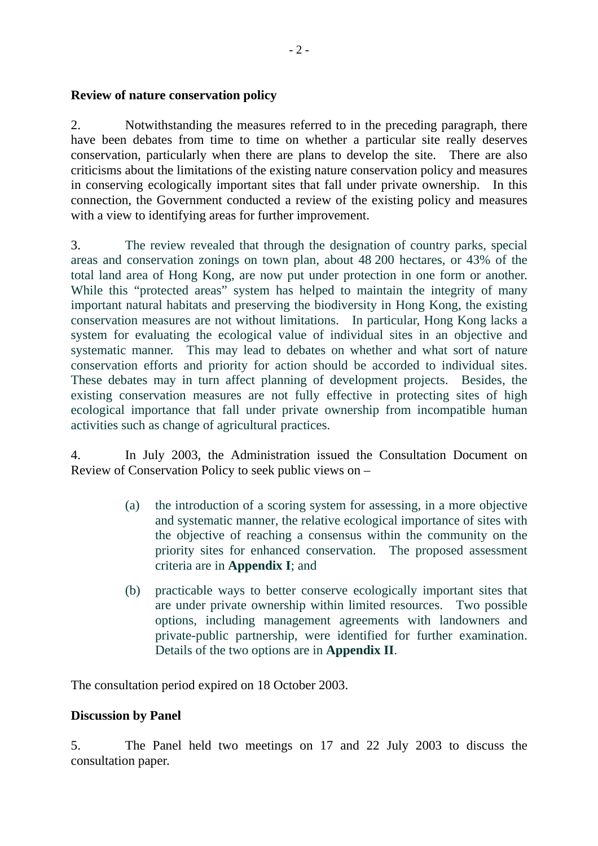### **Review of nature conservation policy**

2. Notwithstanding the measures referred to in the preceding paragraph, there have been debates from time to time on whether a particular site really deserves conservation, particularly when there are plans to develop the site. There are also criticisms about the limitations of the existing nature conservation policy and measures in conserving ecologically important sites that fall under private ownership. In this connection, the Government conducted a review of the existing policy and measures with a view to identifying areas for further improvement.

3. The review revealed that through the designation of country parks, special areas and conservation zonings on town plan, about 48 200 hectares, or 43% of the total land area of Hong Kong, are now put under protection in one form or another. While this "protected areas" system has helped to maintain the integrity of many important natural habitats and preserving the biodiversity in Hong Kong, the existing conservation measures are not without limitations. In particular, Hong Kong lacks a system for evaluating the ecological value of individual sites in an objective and systematic manner. This may lead to debates on whether and what sort of nature conservation efforts and priority for action should be accorded to individual sites. These debates may in turn affect planning of development projects. Besides, the existing conservation measures are not fully effective in protecting sites of high ecological importance that fall under private ownership from incompatible human activities such as change of agricultural practices.

4. In July 2003, the Administration issued the Consultation Document on Review of Conservation Policy to seek public views on –

- (a) the introduction of a scoring system for assessing, in a more objective and systematic manner, the relative ecological importance of sites with the objective of reaching a consensus within the community on the priority sites for enhanced conservation. The proposed assessment criteria are in **Appendix I**; and
- (b) practicable ways to better conserve ecologically important sites that are under private ownership within limited resources. Two possible options, including management agreements with landowners and private-public partnership, were identified for further examination. Details of the two options are in **Appendix II**.

The consultation period expired on 18 October 2003.

## **Discussion by Panel**

5. The Panel held two meetings on 17 and 22 July 2003 to discuss the consultation paper.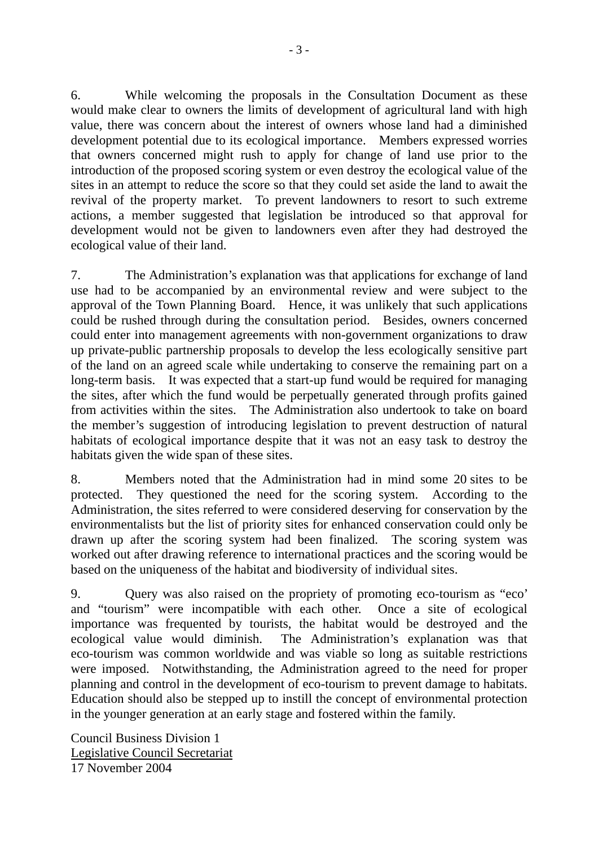6. While welcoming the proposals in the Consultation Document as these would make clear to owners the limits of development of agricultural land with high value, there was concern about the interest of owners whose land had a diminished development potential due to its ecological importance. Members expressed worries that owners concerned might rush to apply for change of land use prior to the introduction of the proposed scoring system or even destroy the ecological value of the sites in an attempt to reduce the score so that they could set aside the land to await the revival of the property market. To prevent landowners to resort to such extreme actions, a member suggested that legislation be introduced so that approval for development would not be given to landowners even after they had destroyed the ecological value of their land.

7. The Administration's explanation was that applications for exchange of land use had to be accompanied by an environmental review and were subject to the approval of the Town Planning Board. Hence, it was unlikely that such applications could be rushed through during the consultation period. Besides, owners concerned could enter into management agreements with non-government organizations to draw up private-public partnership proposals to develop the less ecologically sensitive part of the land on an agreed scale while undertaking to conserve the remaining part on a long-term basis. It was expected that a start-up fund would be required for managing the sites, after which the fund would be perpetually generated through profits gained from activities within the sites. The Administration also undertook to take on board the member's suggestion of introducing legislation to prevent destruction of natural habitats of ecological importance despite that it was not an easy task to destroy the habitats given the wide span of these sites.

8. Members noted that the Administration had in mind some 20 sites to be protected. They questioned the need for the scoring system. According to the Administration, the sites referred to were considered deserving for conservation by the environmentalists but the list of priority sites for enhanced conservation could only be drawn up after the scoring system had been finalized. The scoring system was worked out after drawing reference to international practices and the scoring would be based on the uniqueness of the habitat and biodiversity of individual sites.

9. Query was also raised on the propriety of promoting eco-tourism as "eco' and "tourism" were incompatible with each other. Once a site of ecological importance was frequented by tourists, the habitat would be destroyed and the ecological value would diminish. The Administration's explanation was that eco-tourism was common worldwide and was viable so long as suitable restrictions were imposed. Notwithstanding, the Administration agreed to the need for proper planning and control in the development of eco-tourism to prevent damage to habitats. Education should also be stepped up to instill the concept of environmental protection in the younger generation at an early stage and fostered within the family.

Council Business Division 1 Legislative Council Secretariat 17 November 2004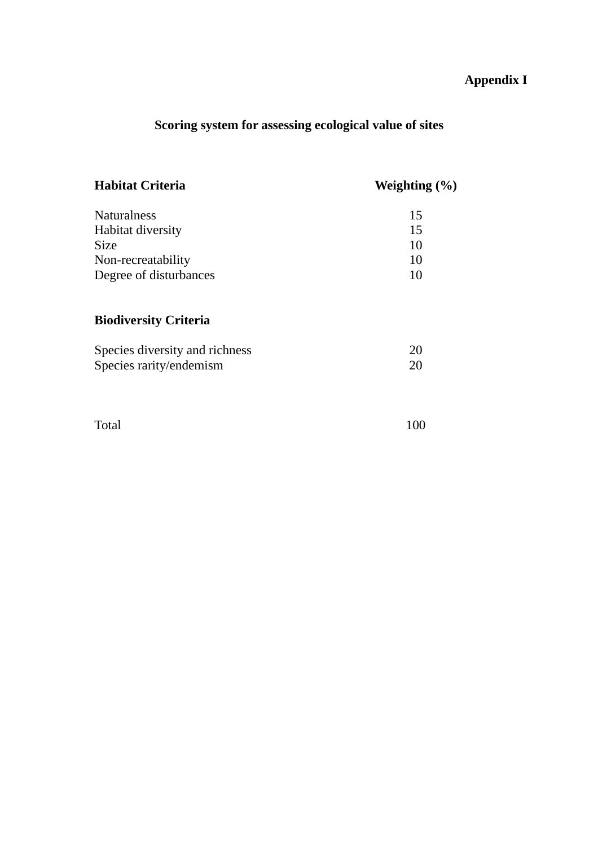# **Appendix I**

# **Scoring system for assessing ecological value of sites**

| <b>Habitat Criteria</b>        | Weighting $(\% )$ |
|--------------------------------|-------------------|
| <b>Naturalness</b>             | 15                |
| Habitat diversity              | 15                |
| <b>Size</b>                    | 10                |
| Non-recreatability             | 10                |
| Degree of disturbances         | 10                |
| <b>Biodiversity Criteria</b>   |                   |
| Species diversity and richness | 20                |
| Species rarity/endemism        | 20                |
|                                |                   |

Total 100